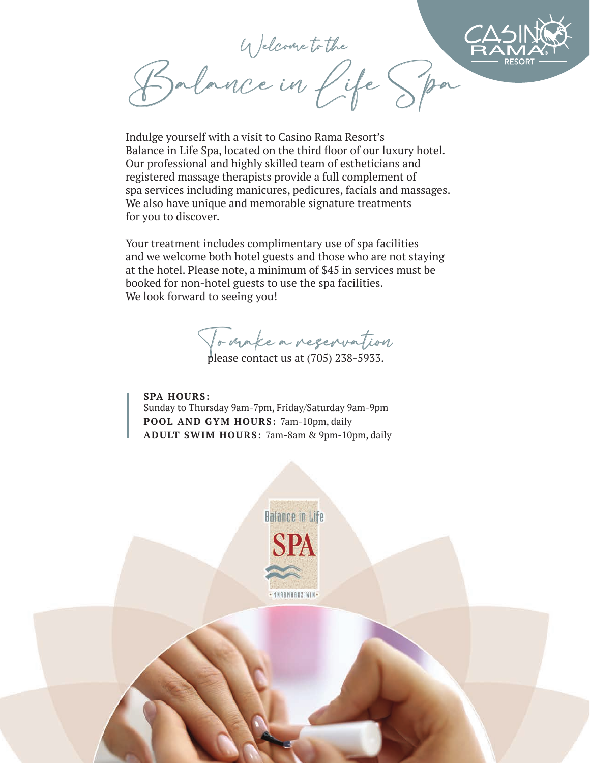Welcome to the Balance in Life Spa

Indulge yourself with a visit to Casino Rama Resort's Balance in Life Spa, located on the third floor of our luxury hotel. Our professional and highly skilled team of estheticians and registered massage therapists provide a full complement of spa services including manicures, pedicures, facials and massages. We also have unique and memorable signature treatments for you to discover.

Your treatment includes complimentary use of spa facilities and we welcome both hotel guests and those who are not staying at the hotel. Please note, a minimum of \$45 in services must be booked for non-hotel guests to use the spa facilities. We look forward to seeing you!

To make a reservation

please contact us at (705) 238-5933.

**SPA HOURS:** Sunday to Thursday 9am-7pm, Friday/Saturday 9am-9pm **POOL AND GYM HOURS:** 7am-10pm, daily **ADULT SWIM HOURS:** 7am-8am & 9pm-10pm, daily

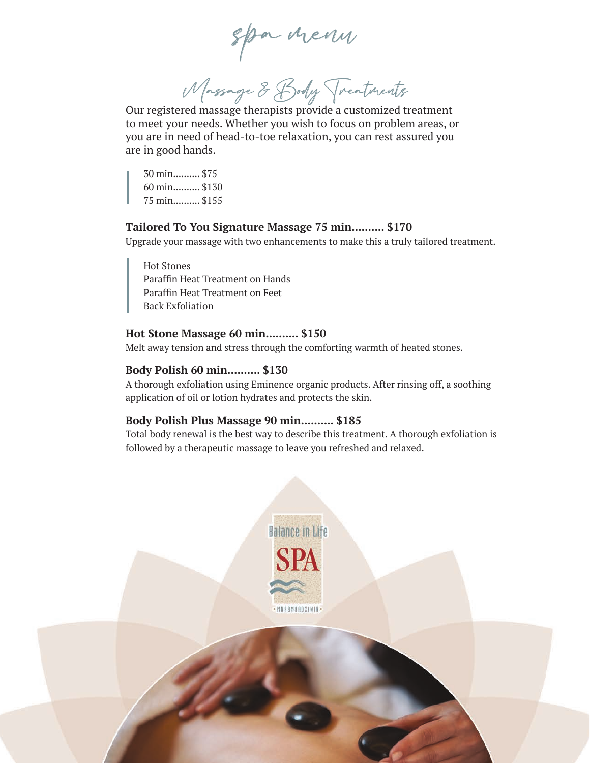spa menu

Massage & Body Treatments

Our registered massage therapists provide a customized treatment to meet your needs. Whether you wish to focus on problem areas, or you are in need of head-to-toe relaxation, you can rest assured you are in good hands.

30 min.......... \$75 60 min.......... \$130 75 min.......... \$155

### **Tailored To You Signature Massage 75 min.......... \$170**

Upgrade your massage with two enhancements to make this a truly tailored treatment.

Hot Stones Paraffin Heat Treatment on Hands Paraffin Heat Treatment on Feet Back Exfoliation

## **Hot Stone Massage 60 min.......... \$150**

Melt away tension and stress through the comforting warmth of heated stones.

## **Body Polish 60 min.......... \$130**

A thorough exfoliation using Eminence organic products. After rinsing off, a soothing application of oil or lotion hydrates and protects the skin.

## **Body Polish Plus Massage 90 min.......... \$185**

Total body renewal is the best way to describe this treatment. A thorough exfoliation is followed by a therapeutic massage to leave you refreshed and relaxed.

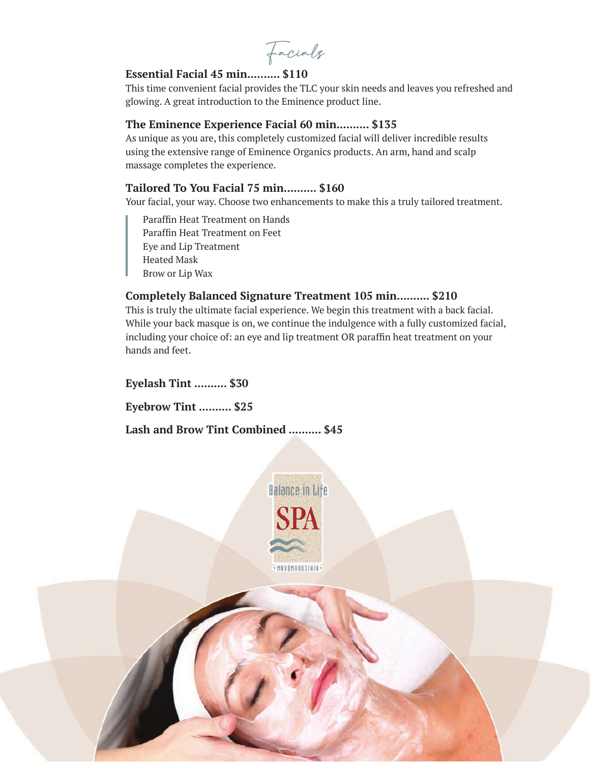Facials

# **Essential Facial 45 min.......... \$110**

This time convenient facial provides the TLC your skin needs and leaves you refreshed and glowing. A great introduction to the Eminence product line.

# **The Eminence Experience Facial 60 min.......... \$135**

As unique as you are, this completely customized facial will deliver incredible results using the extensive range of Eminence Organics products. An arm, hand and scalp massage completes the experience.

# **Tailored To You Facial 75 min.......... \$160**

Your facial, your way. Choose two enhancements to make this a truly tailored treatment.

Paraffin Heat Treatment on Hands Paraffin Heat Treatment on Feet Eye and Lip Treatment Heated Mask Brow or Lip Wax

# **Completely Balanced Signature Treatment 105 min.......... \$210**

This is truly the ultimate facial experience. We begin this treatment with a back facial. While your back masque is on, we continue the indulgence with a fully customized facial, including your choice of: an eye and lip treatment OR paraffin heat treatment on your hands and feet.

**Eyelash Tint .......... \$30** 

**Eyebrow Tint .......... \$25** 

**Lash and Brow Tint Combined .......... \$45** 

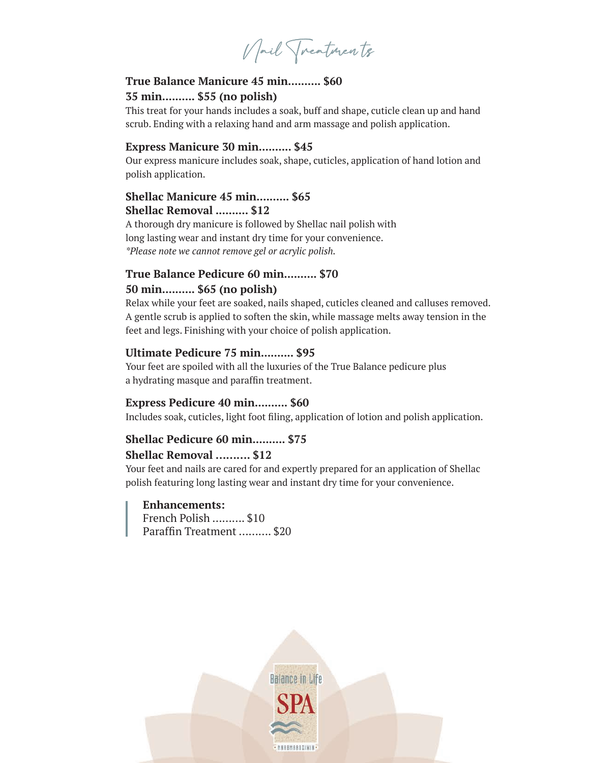Nail Treatmen ts

# **True Balance Manicure 45 min.......... \$60 35 min.......... \$55 (no polish)**

This treat for your hands includes a soak, buff and shape, cuticle clean up and hand scrub. Ending with a relaxing hand and arm massage and polish application.

#### **Express Manicure 30 min.......... \$45**

Our express manicure includes soak, shape, cuticles, application of hand lotion and polish application.

# **Shellac Manicure 45 min.......... \$65 Shellac Removal .......... \$12**

A thorough dry manicure is followed by Shellac nail polish with long lasting wear and instant dry time for your convenience. *\*Please note we cannot remove gel or acrylic polish.*

# **True Balance Pedicure 60 min.......... \$70 50 min.......... \$65 (no polish)**

Relax while your feet are soaked, nails shaped, cuticles cleaned and calluses removed. A gentle scrub is applied to soften the skin, while massage melts away tension in the feet and legs. Finishing with your choice of polish application.

## **Ultimate Pedicure 75 min.......... \$95**

Your feet are spoiled with all the luxuries of the True Balance pedicure plus a hydrating masque and paraffin treatment.

## **Express Pedicure 40 min.......... \$60**

Includes soak, cuticles, light foot filing, application of lotion and polish application.

# **Shellac Pedicure 60 min.......... \$75**

# **Shellac Removal ………. \$12**

Your feet and nails are cared for and expertly prepared for an application of Shellac polish featuring long lasting wear and instant dry time for your convenience.

#### **Enhancements:**

French Polish ………. \$10 Paraffin Treatment ………. \$20